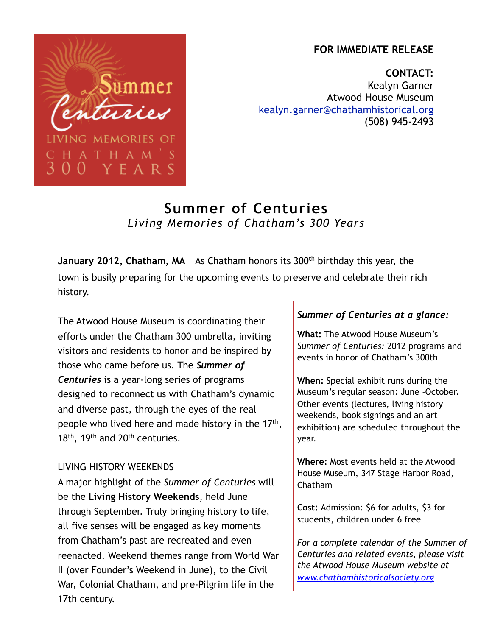## **FOR IMMEDIATE RELEASE**

**CONTACT:** Kealyn Garner Atwood House Museum [kealyn.garner@chathamhistorical.org](mailto:kealyn.garner@chathamhistorical.org) (508) 945-2493

# **Summer of Centuries** *Living Memories of Chatham's 300 Years*

**January 2012, Chatham, MA** As Chatham honors its 300<sup>th</sup> birthday this year, the town is busily preparing for the upcoming events to preserve and celebrate their rich history.

The Atwood House Museum is coordinating their efforts under the Chatham 300 umbrella, inviting visitors and residents to honor and be inspired by those who came before us. The *Summer of Centuries* is a year-long series of programs designed to reconnect us with Chatham's dynamic and diverse past, through the eyes of the real people who lived here and made history in the 17<sup>th</sup>, 18<sup>th</sup>, 19<sup>th</sup> and 20<sup>th</sup> centuries.

immer

 $H A M' S$ E A R S

**G MEMORIES OF** 

#### LIVING HISTORY WEEKENDS

A major highlight of the *Summer of Centuries* will be the **Living History Weekends**, held June through September. Truly bringing history to life, all five senses will be engaged as key moments from Chatham's past are recreated and even reenacted. Weekend themes range from World War II (over Founder's Weekend in June), to the Civil War, Colonial Chatham, and pre-Pilgrim life in the 17th century.

#### *Summer of Centuries at a glance:*

**What:** The Atwood House Museum's *Summer of Centuries:* 2012 programs and events in honor of Chatham's 300th

**When:** Special exhibit runs during the Museum's regular season: June -October. Other events (lectures, living history weekends, book signings and an art exhibition) are scheduled throughout the year.

**Where:** Most events held at the Atwood House Museum, 347 Stage Harbor Road, Chatham

**Cost:** Admission: \$6 for adults, \$3 for students, children under 6 free

*For a complete calendar of the Summer of Centuries and related events, please visit the Atwood House Museum website at [www.chathamhistoricalsociety.org](http://www.chathamhistoricalsociety.org)*